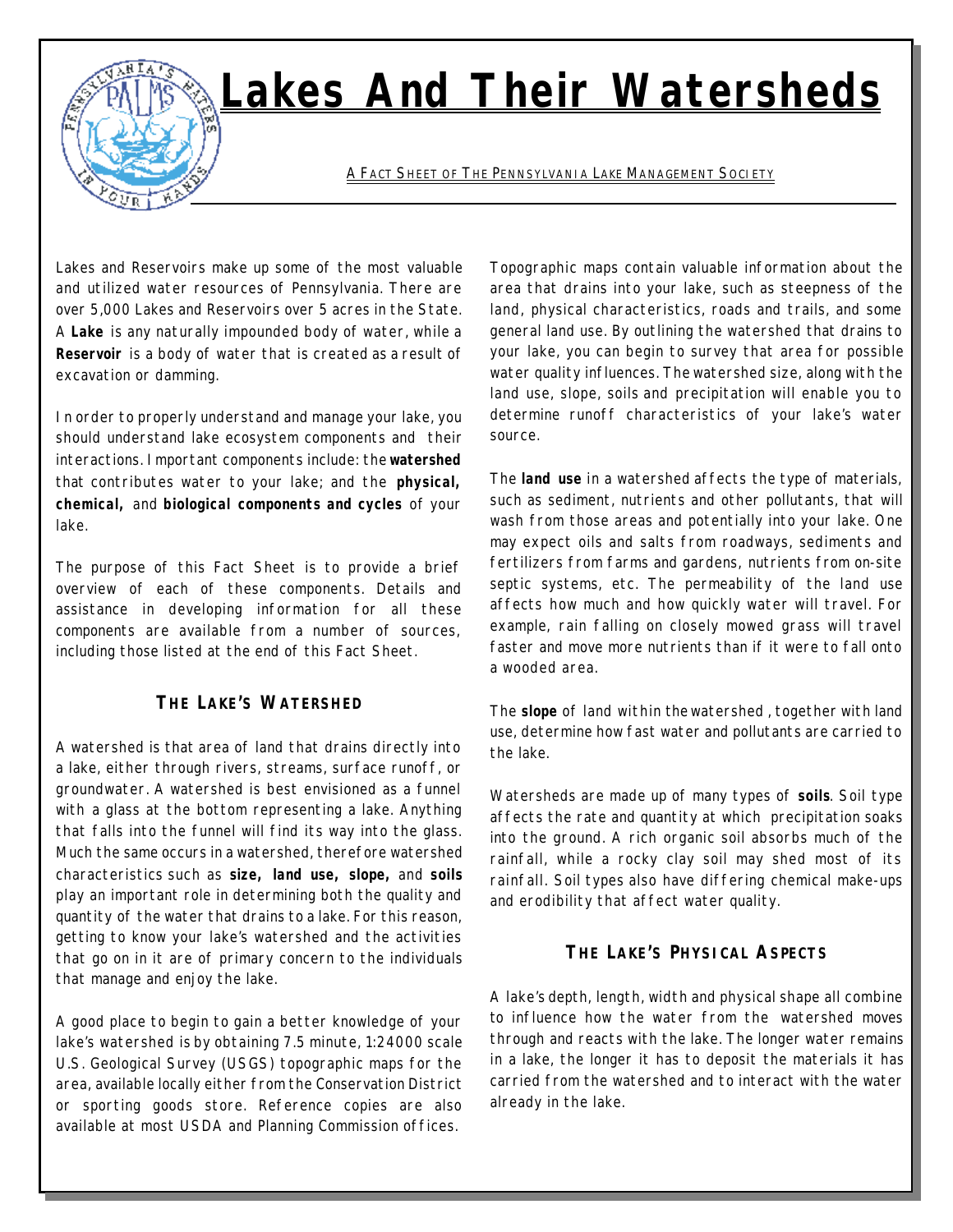# **Lakes And Their Watersheds**

A FACT SHEET OF THE PENNSYLVANIA LAKE MANAGEMENT SOCIETY

Lakes and Reservoirs make up some of the most valuable and utilized water resources of Pennsylvania. There are over 5,000 Lakes and Reservoirs over 5 acres in the State. A *Lake* is any naturally impounded body of water, while a *Reservoir* is a body of water that is created as a result of excavation or damming.

In order to properly understand and manage your lake, you should understand lake ecosystem components and their interactions. Important components include: the *watershed* that contributes water to your lake; and the *physical, chemical,* and *biological components and cycles* of your lake.

The purpose of this Fact Sheet is to provide a brief overview of each of these components. Details and assistance in developing information for all these components are available from a number of sources, including those listed at the end of this Fact Sheet.

#### *THE LAKE'S WATERSHED*

A *watershed* is that area of land that drains directly into a lake, either through rivers, streams, surface runoff, or groundwater. A *watershed* is best envisioned as a funnel with a glass at the bottom representing a lake. Anything that falls into the funnel will find its way into the glass. Much the same occurs in a watershed, therefore watershed characteristics such as *size, land use, slope,* and *soils* play an important role in determining both the quality and quantity of the water that drains to a lake. For this reason, getting to know your lake's watershed and the activities that go on in it are of primary concern to the individuals that manage and enjoy the lake.

A good place to begin to gain a better knowledge of your lake's watershed is by obtaining 7.5 minute, 1:24000 scale U.S. Geological Survey (USGS) topographic maps for the area, available locally either from the Conservation District or sporting goods store. Reference copies are also available at most USDA and Planning Commission offices.

Topographic maps contain valuable information about the area that drains into your lake, such as steepness of the land, physical characteristics, roads and trails, and some general land use. By outlining the watershed that drains to your lake, you can begin to survey that area for possible water quality influences. The *watershed size*, along with the *land use, slope, soils* and *precipitation* will enable you to determine runoff characteristics of your lake's water source.

The *land use* in a *watershed* affects the type of materials, such as sediment, nutrients and other pollutants, that will wash from those areas and potentially into your lake. One may expect oils and salts from roadways, sediments and fertilizers from farms and gardens, nutrients from on-site septic systems, etc. The permeability of the *land use* affects how much and how quickly water will travel. For example, rain falling on closely mowed grass will travel faster and move more nutrients than if it were to fall onto a wooded area.

The *slope* of land within the *watershed* , together with land use, determine how fast water and pollutants are carried to the lake.

Watersheds are made up of many types of *soils*. *Soil type* affects the rate and quantity at which precipitation soaks into the ground. A rich organic soil absorbs much of the rainfall, while a rocky clay soil may shed most of its rainfall. *Soil types* also have differing chemical make-ups and erodibility that affect water quality.

### *THE LAKE'S PHYSICAL ASPECTS*

A lake's *depth, length, width and physical shape* all combine to influence how the water from the *watershed* moves through and reacts with the lake. The longer water remains in a lake, the longer it has to deposit the materials it has carried from the watershed and to interact with the water already in the lake.